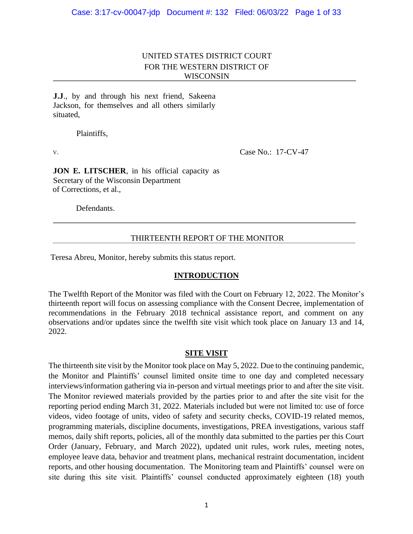# UNITED STATES DISTRICT COURT FOR THE WESTERN DISTRICT OF WISCONSIN

**J.J**., by and through his next friend, Sakeena Jackson, for themselves and all others similarly situated,

Plaintiffs,

v. **Case No.: 17-CV-47** 

**JON E. LITSCHER**, in his official capacity as Secretary of the Wisconsin Department of Corrections, et al.,

Defendants.

### THIRTEENTH REPORT OF THE MONITOR

Teresa Abreu, Monitor, hereby submits this status report.

#### **INTRODUCTION**

The Twelfth Report of the Monitor was filed with the Court on February 12, 2022. The Monitor's thirteenth report will focus on assessing compliance with the Consent Decree, implementation of recommendations in the February 2018 technical assistance report, and comment on any observations and/or updates since the twelfth site visit which took place on January 13 and 14, 2022.

#### **SITE VISIT**

The thirteenth site visit by the Monitor took place on May 5, 2022. Due to the continuing pandemic, the Monitor and Plaintiffs' counsel limited onsite time to one day and completed necessary interviews/information gathering via in-person and virtual meetings prior to and after the site visit. The Monitor reviewed materials provided by the parties prior to and after the site visit for the reporting period ending March 31, 2022. Materials included but were not limited to: use of force videos, video footage of units, video of safety and security checks, COVID-19 related memos, programming materials, discipline documents, investigations, PREA investigations, various staff memos, daily shift reports, policies, all of the monthly data submitted to the parties per this Court Order (January, February, and March 2022), updated unit rules, work rules, meeting notes, employee leave data, behavior and treatment plans, mechanical restraint documentation, incident reports, and other housing documentation. The Monitoring team and Plaintiffs' counsel were on site during this site visit. Plaintiffs' counsel conducted approximately eighteen (18) youth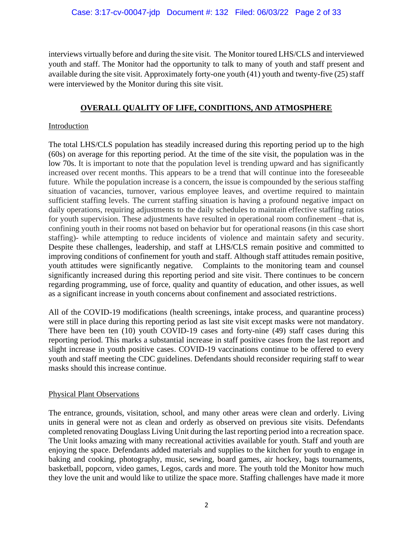interviews virtually before and during the site visit. The Monitor toured LHS/CLS and interviewed youth and staff. The Monitor had the opportunity to talk to many of youth and staff present and available during the site visit. Approximately forty-one youth (41) youth and twenty-five (25) staff were interviewed by the Monitor during this site visit.

# **OVERALL QUALITY OF LIFE, CONDITIONS, AND ATMOSPHERE**

## Introduction

The total LHS/CLS population has steadily increased during this reporting period up to the high (60s) on average for this reporting period. At the time of the site visit, the population was in the low 70s. It is important to note that the population level is trending upward and has significantly increased over recent months. This appears to be a trend that will continue into the foreseeable future. While the population increase is a concern, the issue is compounded by the serious staffing situation of vacancies, turnover, various employee leaves, and overtime required to maintain sufficient staffing levels. The current staffing situation is having a profound negative impact on daily operations, requiring adjustments to the daily schedules to maintain effective staffing ratios for youth supervision. These adjustments have resulted in operational room confinement –that is, confining youth in their rooms not based on behavior but for operational reasons (in this case short staffing)- while attempting to reduce incidents of violence and maintain safety and security. Despite these challenges, leadership, and staff at LHS/CLS remain positive and committed to improving conditions of confinement for youth and staff. Although staff attitudes remain positive, youth attitudes were significantly negative. Complaints to the monitoring team and counsel significantly increased during this reporting period and site visit. There continues to be concern regarding programming, use of force, quality and quantity of education, and other issues, as well as a significant increase in youth concerns about confinement and associated restrictions.

All of the COVID-19 modifications (health screenings, intake process, and quarantine process) were still in place during this reporting period as last site visit except masks were not mandatory. There have been ten (10) youth COVID-19 cases and forty-nine (49) staff cases during this reporting period. This marks a substantial increase in staff positive cases from the last report and slight increase in youth positive cases. COVID-19 vaccinations continue to be offered to every youth and staff meeting the CDC guidelines. Defendants should reconsider requiring staff to wear masks should this increase continue.

#### Physical Plant Observations

The entrance, grounds, visitation, school, and many other areas were clean and orderly. Living units in general were not as clean and orderly as observed on previous site visits. Defendants completed renovating Douglass Living Unit during the last reporting period into a recreation space. The Unit looks amazing with many recreational activities available for youth. Staff and youth are enjoying the space. Defendants added materials and supplies to the kitchen for youth to engage in baking and cooking, photography, music, sewing, board games, air hockey, bags tournaments, basketball, popcorn, video games, Legos, cards and more. The youth told the Monitor how much they love the unit and would like to utilize the space more. Staffing challenges have made it more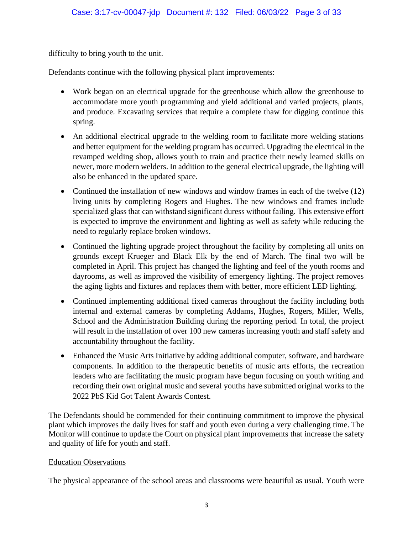difficulty to bring youth to the unit.

Defendants continue with the following physical plant improvements:

- Work began on an electrical upgrade for the greenhouse which allow the greenhouse to accommodate more youth programming and yield additional and varied projects, plants, and produce. Excavating services that require a complete thaw for digging continue this spring.
- An additional electrical upgrade to the welding room to facilitate more welding stations and better equipment for the welding program has occurred. Upgrading the electrical in the revamped welding shop, allows youth to train and practice their newly learned skills on newer, more modern welders. In addition to the general electrical upgrade, the lighting will also be enhanced in the updated space.
- Continued the installation of new windows and window frames in each of the twelve (12) living units by completing Rogers and Hughes. The new windows and frames include specialized glass that can withstand significant duress without failing. This extensive effort is expected to improve the environment and lighting as well as safety while reducing the need to regularly replace broken windows.
- Continued the lighting upgrade project throughout the facility by completing all units on grounds except Krueger and Black Elk by the end of March. The final two will be completed in April. This project has changed the lighting and feel of the youth rooms and dayrooms, as well as improved the visibility of emergency lighting. The project removes the aging lights and fixtures and replaces them with better, more efficient LED lighting.
- Continued implementing additional fixed cameras throughout the facility including both internal and external cameras by completing Addams, Hughes, Rogers, Miller, Wells, School and the Administration Building during the reporting period. In total, the project will result in the installation of over 100 new cameras increasing youth and staff safety and accountability throughout the facility.
- Enhanced the Music Arts Initiative by adding additional computer, software, and hardware components. In addition to the therapeutic benefits of music arts efforts, the recreation leaders who are facilitating the music program have begun focusing on youth writing and recording their own original music and several youths have submitted original works to the 2022 PbS Kid Got Talent Awards Contest.

The Defendants should be commended for their continuing commitment to improve the physical plant which improves the daily lives for staff and youth even during a very challenging time. The Monitor will continue to update the Court on physical plant improvements that increase the safety and quality of life for youth and staff.

# Education Observations

The physical appearance of the school areas and classrooms were beautiful as usual. Youth were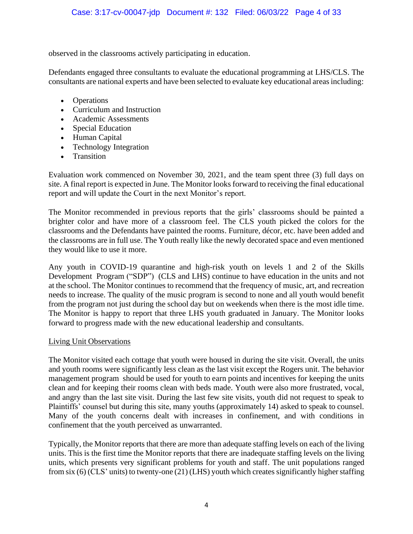observed in the classrooms actively participating in education.

Defendants engaged three consultants to evaluate the educational programming at LHS/CLS. The consultants are national experts and have been selected to evaluate key educational areas including:

- Operations
- Curriculum and Instruction
- Academic Assessments
- Special Education
- Human Capital
- Technology Integration
- Transition

Evaluation work commenced on November 30, 2021, and the team spent three (3) full days on site. A final report is expected in June. The Monitor looks forward to receiving the final educational report and will update the Court in the next Monitor's report.

The Monitor recommended in previous reports that the girls' classrooms should be painted a brighter color and have more of a classroom feel. The CLS youth picked the colors for the classrooms and the Defendants have painted the rooms. Furniture, décor, etc. have been added and the classrooms are in full use. The Youth really like the newly decorated space and even mentioned they would like to use it more.

Any youth in COVID-19 quarantine and high-risk youth on levels 1 and 2 of the Skills Development Program ("SDP") (CLS and LHS) continue to have education in the units and not at the school. The Monitor continues to recommend that the frequency of music, art, and recreation needs to increase. The quality of the music program is second to none and all youth would benefit from the program not just during the school day but on weekends when there is the most idle time. The Monitor is happy to report that three LHS youth graduated in January. The Monitor looks forward to progress made with the new educational leadership and consultants.

#### Living Unit Observations

The Monitor visited each cottage that youth were housed in during the site visit. Overall, the units and youth rooms were significantly less clean as the last visit except the Rogers unit. The behavior management program should be used for youth to earn points and incentives for keeping the units clean and for keeping their rooms clean with beds made. Youth were also more frustrated, vocal, and angry than the last site visit. During the last few site visits, youth did not request to speak to Plaintiffs' counsel but during this site, many youths (approximately 14) asked to speak to counsel. Many of the youth concerns dealt with increases in confinement, and with conditions in confinement that the youth perceived as unwarranted.

Typically, the Monitor reports that there are more than adequate staffing levels on each of the living units. This is the first time the Monitor reports that there are inadequate staffing levels on the living units, which presents very significant problems for youth and staff. The unit populations ranged from six (6) (CLS' units) to twenty-one (21) (LHS) youth which creates significantly higher staffing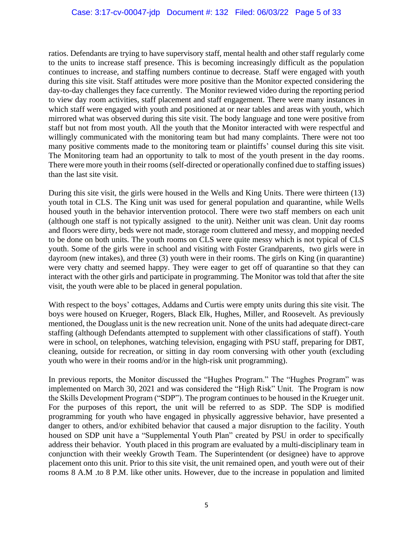ratios. Defendants are trying to have supervisory staff, mental health and other staff regularly come to the units to increase staff presence. This is becoming increasingly difficult as the population continues to increase, and staffing numbers continue to decrease. Staff were engaged with youth during this site visit. Staff attitudes were more positive than the Monitor expected considering the day-to-day challenges they face currently. The Monitor reviewed video during the reporting period to view day room activities, staff placement and staff engagement. There were many instances in which staff were engaged with youth and positioned at or near tables and areas with youth, which mirrored what was observed during this site visit. The body language and tone were positive from staff but not from most youth. All the youth that the Monitor interacted with were respectful and willingly communicated with the monitoring team but had many complaints. There were not too many positive comments made to the monitoring team or plaintiffs' counsel during this site visit. The Monitoring team had an opportunity to talk to most of the youth present in the day rooms. There were more youth in their rooms (self-directed or operationally confined due to staffing issues) than the last site visit.

During this site visit, the girls were housed in the Wells and King Units. There were thirteen (13) youth total in CLS. The King unit was used for general population and quarantine, while Wells housed youth in the behavior intervention protocol. There were two staff members on each unit (although one staff is not typically assigned to the unit). Neither unit was clean. Unit day rooms and floors were dirty, beds were not made, storage room cluttered and messy, and mopping needed to be done on both units. The youth rooms on CLS were quite messy which is not typical of CLS youth. Some of the girls were in school and visiting with Foster Grandparents, two girls were in dayroom (new intakes), and three (3) youth were in their rooms. The girls on King (in quarantine) were very chatty and seemed happy. They were eager to get off of quarantine so that they can interact with the other girls and participate in programming. The Monitor was told that after the site visit, the youth were able to be placed in general population.

With respect to the boys' cottages, Addams and Curtis were empty units during this site visit. The boys were housed on Krueger, Rogers, Black Elk, Hughes, Miller, and Roosevelt. As previously mentioned, the Douglass unit is the new recreation unit. None of the units had adequate direct-care staffing (although Defendants attempted to supplement with other classifications of staff). Youth were in school, on telephones, watching television, engaging with PSU staff, preparing for DBT, cleaning, outside for recreation, or sitting in day room conversing with other youth (excluding youth who were in their rooms and/or in the high-risk unit programming).

In previous reports, the Monitor discussed the "Hughes Program." The "Hughes Program" was implemented on March 30, 2021 and was considered the "High Risk" Unit. The Program is now the Skills Development Program ("SDP"). The program continues to be housed in the Krueger unit. For the purposes of this report, the unit will be referred to as SDP. The SDP is modified programming for youth who have engaged in physically aggressive behavior, have presented a danger to others, and/or exhibited behavior that caused a major disruption to the facility. Youth housed on SDP unit have a "Supplemental Youth Plan" created by PSU in order to specifically address their behavior. Youth placed in this program are evaluated by a multi-disciplinary team in conjunction with their weekly Growth Team. The Superintendent (or designee) have to approve placement onto this unit. Prior to this site visit, the unit remained open, and youth were out of their rooms 8 A.M .to 8 P.M. like other units. However, due to the increase in population and limited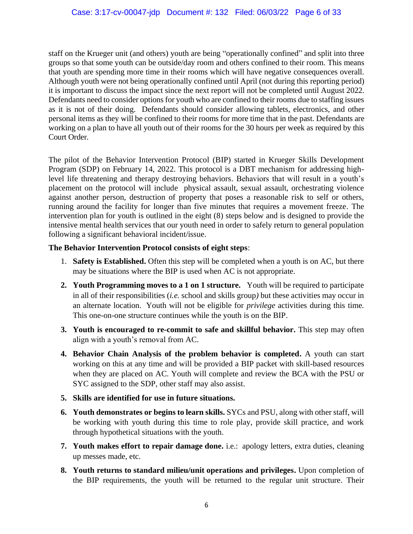staff on the Krueger unit (and others) youth are being "operationally confined" and split into three groups so that some youth can be outside/day room and others confined to their room. This means that youth are spending more time in their rooms which will have negative consequences overall. Although youth were not being operationally confined until April (not during this reporting period) it is important to discuss the impact since the next report will not be completed until August 2022. Defendants need to consider options for youth who are confined to their rooms due to staffing issues as it is not of their doing. Defendants should consider allowing tablets, electronics, and other personal items as they will be confined to their rooms for more time that in the past. Defendants are working on a plan to have all youth out of their rooms for the 30 hours per week as required by this Court Order.

The pilot of the Behavior Intervention Protocol (BIP) started in Krueger Skills Development Program (SDP) on February 14, 2022. This protocol is a DBT mechanism for addressing highlevel life threatening and therapy destroying behaviors. Behaviors that will result in a youth's placement on the protocol will include physical assault, sexual assault, orchestrating violence against another person, destruction of property that poses a reasonable risk to self or others, running around the facility for longer than five minutes that requires a movement freeze. The intervention plan for youth is outlined in the eight (8) steps below and is designed to provide the intensive mental health services that our youth need in order to safely return to general population following a significant behavioral incident/issue.

# **The Behavior Intervention Protocol consists of eight steps**:

- 1. **Safety is Established.** Often this step will be completed when a youth is on AC, but there may be situations where the BIP is used when AC is not appropriate.
- **2. Youth Programming moves to a 1 on 1 structure.** Youth will be required to participate in all of their responsibilities (*i.e.* school and skills group*)* but these activities may occur in an alternate location. Youth will not be eligible for *privilege* activities during this time*.* This one-on-one structure continues while the youth is on the BIP.
- **3. Youth is encouraged to re-commit to safe and skillful behavior.** This step may often align with a youth's removal from AC.
- **4. Behavior Chain Analysis of the problem behavior is completed.** A youth can start working on this at any time and will be provided a BIP packet with skill-based resources when they are placed on AC. Youth will complete and review the BCA with the PSU or SYC assigned to the SDP, other staff may also assist.
- **5. Skills are identified for use in future situations.**
- **6. Youth demonstrates or begins to learn skills.** SYCs and PSU, along with other staff, will be working with youth during this time to role play, provide skill practice, and work through hypothetical situations with the youth.
- **7. Youth makes effort to repair damage done.** i.e.: apology letters, extra duties, cleaning up messes made, etc.
- **8. Youth returns to standard milieu/unit operations and privileges.** Upon completion of the BIP requirements, the youth will be returned to the regular unit structure. Their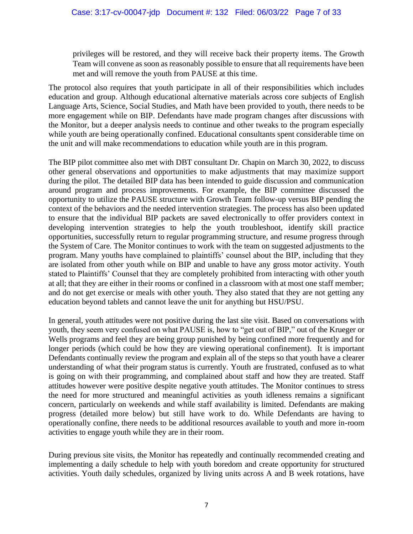privileges will be restored, and they will receive back their property items. The Growth Team will convene as soon as reasonably possible to ensure that all requirements have been met and will remove the youth from PAUSE at this time.

The protocol also requires that youth participate in all of their responsibilities which includes education and group. Although educational alternative materials across core subjects of English Language Arts, Science, Social Studies, and Math have been provided to youth, there needs to be more engagement while on BIP. Defendants have made program changes after discussions with the Monitor, but a deeper analysis needs to continue and other tweaks to the program especially while youth are being operationally confined. Educational consultants spent considerable time on the unit and will make recommendations to education while youth are in this program.

The BIP pilot committee also met with DBT consultant Dr. Chapin on March 30, 2022, to discuss other general observations and opportunities to make adjustments that may maximize support during the pilot. The detailed BIP data has been intended to guide discussion and communication around program and process improvements. For example, the BIP committee discussed the opportunity to utilize the PAUSE structure with Growth Team follow-up versus BIP pending the context of the behaviors and the needed intervention strategies. The process has also been updated to ensure that the individual BIP packets are saved electronically to offer providers context in developing intervention strategies to help the youth troubleshoot, identify skill practice opportunities, successfully return to regular programming structure, and resume progress through the System of Care. The Monitor continues to work with the team on suggested adjustments to the program. Many youths have complained to plaintiffs' counsel about the BIP, including that they are isolated from other youth while on BIP and unable to have any gross motor activity. Youth stated to Plaintiffs' Counsel that they are completely prohibited from interacting with other youth at all; that they are either in their rooms or confined in a classroom with at most one staff member; and do not get exercise or meals with other youth. They also stated that they are not getting any education beyond tablets and cannot leave the unit for anything but HSU/PSU.

In general, youth attitudes were not positive during the last site visit. Based on conversations with youth, they seem very confused on what PAUSE is, how to "get out of BIP," out of the Krueger or Wells programs and feel they are being group punished by being confined more frequently and for longer periods (which could be how they are viewing operational confinement). It is important Defendants continually review the program and explain all of the steps so that youth have a clearer understanding of what their program status is currently. Youth are frustrated, confused as to what is going on with their programming, and complained about staff and how they are treated. Staff attitudes however were positive despite negative youth attitudes. The Monitor continues to stress the need for more structured and meaningful activities as youth idleness remains a significant concern, particularly on weekends and while staff availability is limited. Defendants are making progress (detailed more below) but still have work to do. While Defendants are having to operationally confine, there needs to be additional resources available to youth and more in-room activities to engage youth while they are in their room.

During previous site visits, the Monitor has repeatedly and continually recommended creating and implementing a daily schedule to help with youth boredom and create opportunity for structured activities. Youth daily schedules, organized by living units across A and B week rotations, have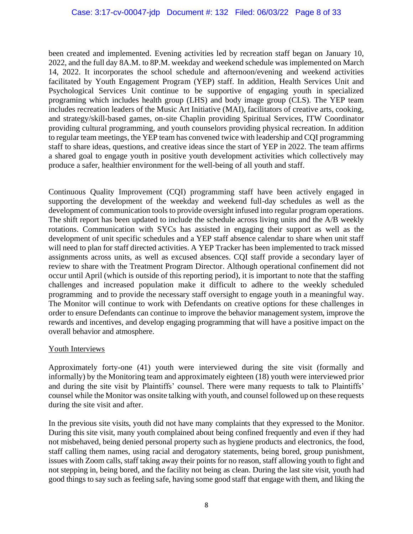been created and implemented. Evening activities led by recreation staff began on January 10, 2022, and the full day 8A.M. to 8P.M. weekday and weekend schedule was implemented on March 14, 2022. It incorporates the school schedule and afternoon/evening and weekend activities facilitated by Youth Engagement Program (YEP) staff. In addition, Health Services Unit and Psychological Services Unit continue to be supportive of engaging youth in specialized programing which includes health group (LHS) and body image group (CLS). The YEP team includes recreation leaders of the Music Art Initiative (MAI), facilitators of creative arts, cooking, and strategy/skill-based games, on-site Chaplin providing Spiritual Services, ITW Coordinator providing cultural programming, and youth counselors providing physical recreation. In addition to regular team meetings, the YEP team has convened twice with leadership and CQI programming staff to share ideas, questions, and creative ideas since the start of YEP in 2022. The team affirms a shared goal to engage youth in positive youth development activities which collectively may produce a safer, healthier environment for the well-being of all youth and staff.

Continuous Quality Improvement (CQI) programming staff have been actively engaged in supporting the development of the weekday and weekend full-day schedules as well as the development of communication tools to provide oversight infused into regular program operations. The shift report has been updated to include the schedule across living units and the A/B weekly rotations. Communication with SYCs has assisted in engaging their support as well as the development of unit specific schedules and a YEP staff absence calendar to share when unit staff will need to plan for staff directed activities. A YEP Tracker has been implemented to track missed assignments across units, as well as excused absences. CQI staff provide a secondary layer of review to share with the Treatment Program Director. Although operational confinement did not occur until April (which is outside of this reporting period), it is important to note that the staffing challenges and increased population make it difficult to adhere to the weekly scheduled programming and to provide the necessary staff oversight to engage youth in a meaningful way. The Monitor will continue to work with Defendants on creative options for these challenges in order to ensure Defendants can continue to improve the behavior management system, improve the rewards and incentives, and develop engaging programming that will have a positive impact on the overall behavior and atmosphere.

# Youth Interviews

Approximately forty-one (41) youth were interviewed during the site visit (formally and informally) by the Monitoring team and approximately eighteen (18) youth were interviewed prior and during the site visit by Plaintiffs' counsel. There were many requests to talk to Plaintiffs' counsel while the Monitor was onsite talking with youth, and counsel followed up on these requests during the site visit and after.

In the previous site visits, youth did not have many complaints that they expressed to the Monitor. During this site visit, many youth complained about being confined frequently and even if they had not misbehaved, being denied personal property such as hygiene products and electronics, the food, staff calling them names, using racial and derogatory statements, being bored, group punishment, issues with Zoom calls, staff taking away their points for no reason, staff allowing youth to fight and not stepping in, being bored, and the facility not being as clean. During the last site visit, youth had good things to say such as feeling safe, having some good staff that engage with them, and liking the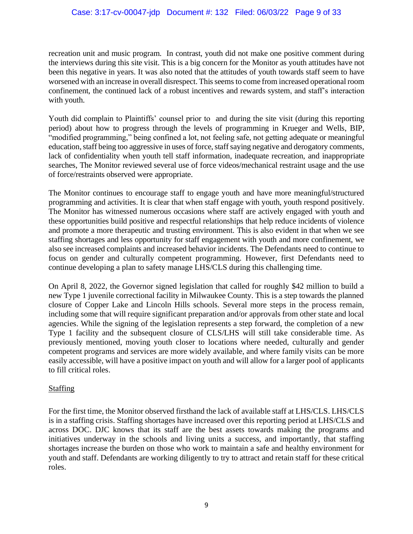recreation unit and music program. In contrast, youth did not make one positive comment during the interviews during this site visit. This is a big concern for the Monitor as youth attitudes have not been this negative in years. It was also noted that the attitudes of youth towards staff seem to have worsened with an increase in overall disrespect. This seems to come from increased operational room confinement, the continued lack of a robust incentives and rewards system, and staff's interaction with youth.

Youth did complain to Plaintiffs' counsel prior to and during the site visit (during this reporting period) about how to progress through the levels of programming in Krueger and Wells, BIP, "modified programming," being confined a lot, not feeling safe, not getting adequate or meaningful education, staff being too aggressive in uses of force, staff saying negative and derogatory comments, lack of confidentiality when youth tell staff information, inadequate recreation, and inappropriate searches, The Monitor reviewed several use of force videos/mechanical restraint usage and the use of force/restraints observed were appropriate.

The Monitor continues to encourage staff to engage youth and have more meaningful/structured programming and activities. It is clear that when staff engage with youth, youth respond positively. The Monitor has witnessed numerous occasions where staff are actively engaged with youth and these opportunities build positive and respectful relationships that help reduce incidents of violence and promote a more therapeutic and trusting environment. This is also evident in that when we see staffing shortages and less opportunity for staff engagement with youth and more confinement, we also see increased complaints and increased behavior incidents. The Defendants need to continue to focus on gender and culturally competent programming. However, first Defendants need to continue developing a plan to safety manage LHS/CLS during this challenging time.

On April 8, 2022, the Governor signed legislation that called for roughly \$42 million to build a new Type 1 juvenile correctional facility in Milwaukee County. This is a step towards the planned closure of Copper Lake and Lincoln Hills schools. Several more steps in the process remain, including some that will require significant preparation and/or approvals from other state and local agencies. While the signing of the legislation represents a step forward, the completion of a new Type 1 facility and the subsequent closure of CLS/LHS will still take considerable time. As previously mentioned, moving youth closer to locations where needed, culturally and gender competent programs and services are more widely available, and where family visits can be more easily accessible, will have a positive impact on youth and will allow for a larger pool of applicants to fill critical roles.

# **Staffing**

For the first time, the Monitor observed firsthand the lack of available staff at LHS/CLS. LHS/CLS is in a staffing crisis. Staffing shortages have increased over this reporting period at LHS/CLS and across DOC. DJC knows that its staff are the best assets towards making the programs and initiatives underway in the schools and living units a success, and importantly, that staffing shortages increase the burden on those who work to maintain a safe and healthy environment for youth and staff. Defendants are working diligently to try to attract and retain staff for these critical roles.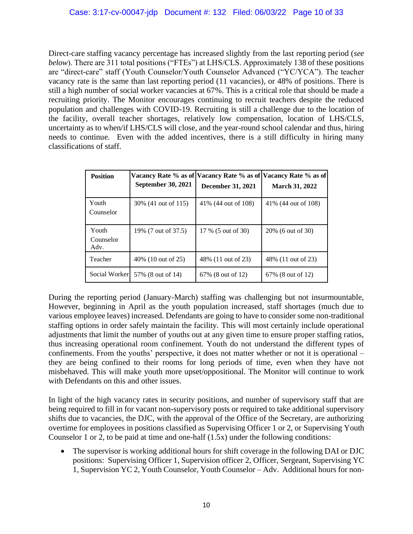Direct-care staffing vacancy percentage has increased slightly from the last reporting period (*see below*). There are 311 total positions ("FTEs") at LHS/CLS. Approximately 138 of these positions are "direct-care" staff (Youth Counselor/Youth Counselor Advanced ("YC/YCA"). The teacher vacancy rate is the same than last reporting period (11 vacancies), or 48% of positions. There is still a high number of social worker vacancies at 67%. This is a critical role that should be made a recruiting priority. The Monitor encourages continuing to recruit teachers despite the reduced population and challenges with COVID-19. Recruiting is still a challenge due to the location of the facility, overall teacher shortages, relatively low compensation, location of LHS/CLS, uncertainty as to when/if LHS/CLS will close, and the year-round school calendar and thus, hiring needs to continue. Even with the added incentives, there is a still difficulty in hiring many classifications of staff.

| <b>Position</b>            | <b>September 30, 2021</b> | December 31, 2021    | Vacancy Rate % as of Vacancy Rate % as of Vacancy Rate % as of<br><b>March 31, 2022</b> |
|----------------------------|---------------------------|----------------------|-----------------------------------------------------------------------------------------|
| Youth<br>Counselor         | 30\% (41 out of 115)      | 41\% (44 out of 108) | 41\% (44 out of 108)                                                                    |
| Youth<br>Counselor<br>Adv. | 19% (7 out of 37.5)       | 17 % (5 out of 30)   | 20% (6 out of 30)                                                                       |
| Teacher                    | 40% (10 out of 25)        | 48% (11 out of 23)   | 48% (11 out of 23)                                                                      |
| Social Worker              | 57\% (8 out of 14)        | 67\% (8 out of 12)   | 67\% (8 out of 12)                                                                      |

During the reporting period (January-March) staffing was challenging but not insurmountable, However, beginning in April as the youth population increased, staff shortages (much due to various employee leaves) increased. Defendants are going to have to consider some non-traditional staffing options in order safely maintain the facility. This will most certainly include operational adjustments that limit the number of youths out at any given time to ensure proper staffing ratios, thus increasing operational room confinement. Youth do not understand the different types of confinements. From the youths' perspective, it does not matter whether or not it is operational – they are being confined to their rooms for long periods of time, even when they have not misbehaved. This will make youth more upset/oppositional. The Monitor will continue to work with Defendants on this and other issues.

In light of the high vacancy rates in security positions, and number of supervisory staff that are being required to fill in for vacant non-supervisory posts or required to take additional supervisory shifts due to vacancies, the DJC, with the approval of the Office of the Secretary, are authorizing overtime for employees in positions classified as Supervising Officer 1 or 2, or Supervising Youth Counselor 1 or 2, to be paid at time and one-half (1.5x) under the following conditions:

• The supervisor is working additional hours for shift coverage in the following DAI or DJC positions: Supervising Officer 1, Supervision officer 2, Officer, Sergeant, Supervising YC 1, Supervision YC 2, Youth Counselor, Youth Counselor – Adv. Additional hours for non-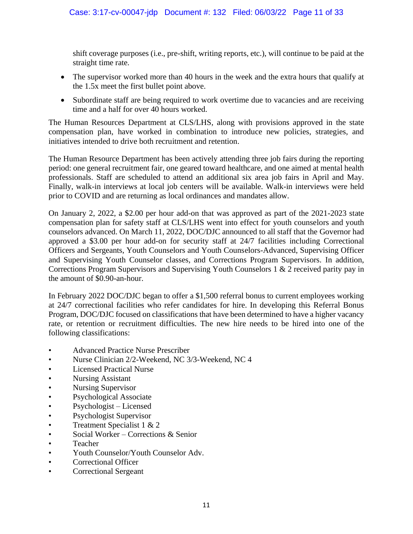shift coverage purposes (i.e., pre-shift, writing reports, etc.), will continue to be paid at the straight time rate.

- The supervisor worked more than 40 hours in the week and the extra hours that qualify at the 1.5x meet the first bullet point above.
- Subordinate staff are being required to work overtime due to vacancies and are receiving time and a half for over 40 hours worked.

The Human Resources Department at CLS/LHS, along with provisions approved in the state compensation plan, have worked in combination to introduce new policies, strategies, and initiatives intended to drive both recruitment and retention.

The Human Resource Department has been actively attending three job fairs during the reporting period: one general recruitment fair, one geared toward healthcare, and one aimed at mental health professionals. Staff are scheduled to attend an additional six area job fairs in April and May. Finally, walk-in interviews at local job centers will be available. Walk-in interviews were held prior to COVID and are returning as local ordinances and mandates allow.

On January 2, 2022, a \$2.00 per hour add-on that was approved as part of the 2021-2023 state compensation plan for safety staff at CLS/LHS went into effect for youth counselors and youth counselors advanced. On March 11, 2022, DOC/DJC announced to all staff that the Governor had approved a \$3.00 per hour add-on for security staff at 24/7 facilities including Correctional Officers and Sergeants, Youth Counselors and Youth Counselors-Advanced, Supervising Officer and Supervising Youth Counselor classes, and Corrections Program Supervisors. In addition, Corrections Program Supervisors and Supervising Youth Counselors 1 & 2 received parity pay in the amount of \$0.90-an-hour.

In February 2022 DOC/DJC began to offer a \$1,500 referral bonus to current employees working at 24/7 correctional facilities who refer candidates for hire. In developing this Referral Bonus Program, DOC/DJC focused on classifications that have been determined to have a higher vacancy rate, or retention or recruitment difficulties. The new hire needs to be hired into one of the following classifications:

- Advanced Practice Nurse Prescriber
- Nurse Clinician 2/2-Weekend, NC 3/3-Weekend, NC 4
- Licensed Practical Nurse
- Nursing Assistant
- Nursing Supervisor
- Psychological Associate
- Psychologist Licensed
- Psychologist Supervisor
- Treatment Specialist 1 & 2
- Social Worker Corrections & Senior
- Teacher
- Youth Counselor/Youth Counselor Adv.
- Correctional Officer
- Correctional Sergeant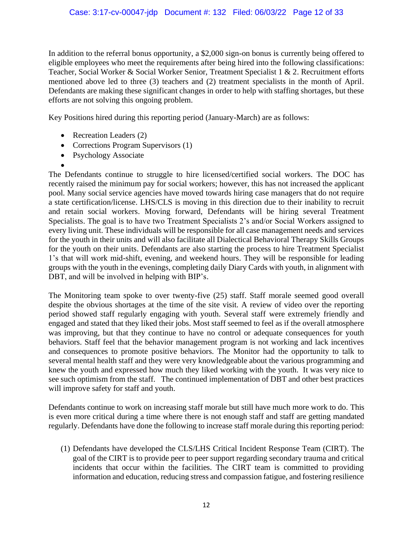In addition to the referral bonus opportunity, a \$2,000 sign-on bonus is currently being offered to eligible employees who meet the requirements after being hired into the following classifications: Teacher, Social Worker & Social Worker Senior, Treatment Specialist 1 & 2. Recruitment efforts mentioned above led to three (3) teachers and (2) treatment specialists in the month of April. Defendants are making these significant changes in order to help with staffing shortages, but these efforts are not solving this ongoing problem.

Key Positions hired during this reporting period (January-March) are as follows:

- Recreation Leaders (2)
- Corrections Program Supervisors (1)
- Psychology Associate

• The Defendants continue to struggle to hire licensed/certified social workers. The DOC has recently raised the minimum pay for social workers; however, this has not increased the applicant pool. Many social service agencies have moved towards hiring case managers that do not require a state certification/license. LHS/CLS is moving in this direction due to their inability to recruit and retain social workers. Moving forward, Defendants will be hiring several Treatment Specialists. The goal is to have two Treatment Specialists 2's and/or Social Workers assigned to every living unit. These individuals will be responsible for all case management needs and services for the youth in their units and will also facilitate all Dialectical Behavioral Therapy Skills Groups for the youth on their units. Defendants are also starting the process to hire Treatment Specialist 1's that will work mid-shift, evening, and weekend hours. They will be responsible for leading groups with the youth in the evenings, completing daily Diary Cards with youth, in alignment with DBT, and will be involved in helping with BIP's.

The Monitoring team spoke to over twenty-five (25) staff. Staff morale seemed good overall despite the obvious shortages at the time of the site visit. A review of video over the reporting period showed staff regularly engaging with youth. Several staff were extremely friendly and engaged and stated that they liked their jobs. Most staff seemed to feel as if the overall atmosphere was improving, but that they continue to have no control or adequate consequences for youth behaviors. Staff feel that the behavior management program is not working and lack incentives and consequences to promote positive behaviors. The Monitor had the opportunity to talk to several mental health staff and they were very knowledgeable about the various programming and knew the youth and expressed how much they liked working with the youth. It was very nice to see such optimism from the staff. The continued implementation of DBT and other best practices will improve safety for staff and youth.

Defendants continue to work on increasing staff morale but still have much more work to do. This is even more critical during a time where there is not enough staff and staff are getting mandated regularly. Defendants have done the following to increase staff morale during this reporting period:

(1) Defendants have developed the CLS/LHS Critical Incident Response Team (CIRT). The goal of the CIRT is to provide peer to peer support regarding secondary trauma and critical incidents that occur within the facilities. The CIRT team is committed to providing information and education, reducing stress and compassion fatigue, and fostering resilience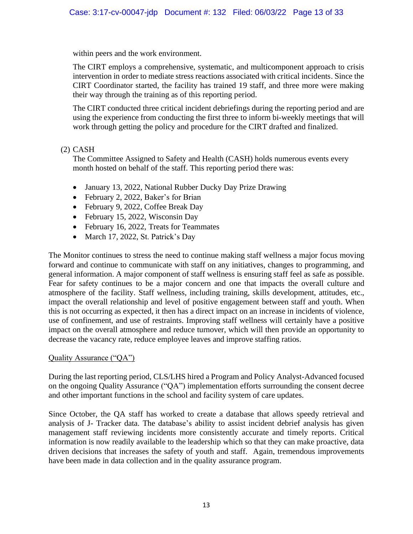within peers and the work environment.

The CIRT employs a comprehensive, systematic, and multicomponent approach to crisis intervention in order to mediate stress reactions associated with critical incidents. Since the CIRT Coordinator started, the facility has trained 19 staff, and three more were making their way through the training as of this reporting period.

The CIRT conducted three critical incident debriefings during the reporting period and are using the experience from conducting the first three to inform bi-weekly meetings that will work through getting the policy and procedure for the CIRT drafted and finalized.

#### (2) CASH

The Committee Assigned to Safety and Health (CASH) holds numerous events every month hosted on behalf of the staff. This reporting period there was:

- January 13, 2022, National Rubber Ducky Day Prize Drawing
- February 2, 2022, Baker's for Brian
- February 9, 2022, Coffee Break Day
- February 15, 2022, Wisconsin Day
- February 16, 2022, Treats for Teammates
- March 17, 2022, St. Patrick's Day

The Monitor continues to stress the need to continue making staff wellness a major focus moving forward and continue to communicate with staff on any initiatives, changes to programming, and general information. A major component of staff wellness is ensuring staff feel as safe as possible. Fear for safety continues to be a major concern and one that impacts the overall culture and atmosphere of the facility. Staff wellness, including training, skills development, attitudes, etc., impact the overall relationship and level of positive engagement between staff and youth. When this is not occurring as expected, it then has a direct impact on an increase in incidents of violence, use of confinement, and use of restraints. Improving staff wellness will certainly have a positive impact on the overall atmosphere and reduce turnover, which will then provide an opportunity to decrease the vacancy rate, reduce employee leaves and improve staffing ratios.

#### Quality Assurance ("QA")

During the last reporting period, CLS/LHS hired a Program and Policy Analyst-Advanced focused on the ongoing Quality Assurance ("QA") implementation efforts surrounding the consent decree and other important functions in the school and facility system of care updates.

Since October, the QA staff has worked to create a database that allows speedy retrieval and analysis of J- Tracker data. The database's ability to assist incident debrief analysis has given management staff reviewing incidents more consistently accurate and timely reports. Critical information is now readily available to the leadership which so that they can make proactive, data driven decisions that increases the safety of youth and staff. Again, tremendous improvements have been made in data collection and in the quality assurance program.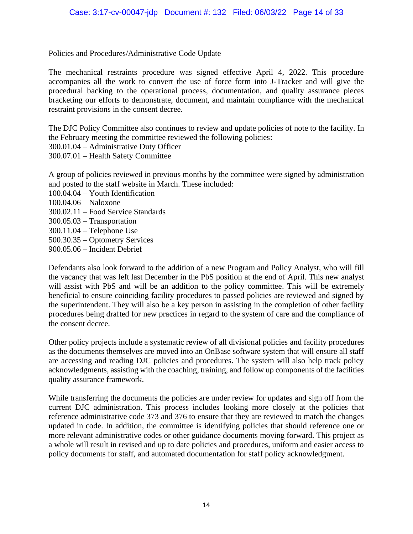### Policies and Procedures/Administrative Code Update

The mechanical restraints procedure was signed effective April 4, 2022. This procedure accompanies all the work to convert the use of force form into J-Tracker and will give the procedural backing to the operational process, documentation, and quality assurance pieces bracketing our efforts to demonstrate, document, and maintain compliance with the mechanical restraint provisions in the consent decree.

The DJC Policy Committee also continues to review and update policies of note to the facility. In the February meeting the committee reviewed the following policies: 300.01.04 – Administrative Duty Officer 300.07.01 – Health Safety Committee

A group of policies reviewed in previous months by the committee were signed by administration and posted to the staff website in March. These included:

- 100.04.04 Youth Identification
- 100.04.06 Naloxone
- 300.02.11 Food Service Standards
- 300.05.03 Transportation
- 300.11.04 Telephone Use
- 500.30.35 Optometry Services
- 900.05.06 Incident Debrief

Defendants also look forward to the addition of a new Program and Policy Analyst, who will fill the vacancy that was left last December in the PbS position at the end of April. This new analyst will assist with PbS and will be an addition to the policy committee. This will be extremely beneficial to ensure coinciding facility procedures to passed policies are reviewed and signed by the superintendent. They will also be a key person in assisting in the completion of other facility procedures being drafted for new practices in regard to the system of care and the compliance of the consent decree.

Other policy projects include a systematic review of all divisional policies and facility procedures as the documents themselves are moved into an OnBase software system that will ensure all staff are accessing and reading DJC policies and procedures. The system will also help track policy acknowledgments, assisting with the coaching, training, and follow up components of the facilities quality assurance framework.

While transferring the documents the policies are under review for updates and sign off from the current DJC administration. This process includes looking more closely at the policies that reference administrative code 373 and 376 to ensure that they are reviewed to match the changes updated in code. In addition, the committee is identifying policies that should reference one or more relevant administrative codes or other guidance documents moving forward. This project as a whole will result in revised and up to date policies and procedures, uniform and easier access to policy documents for staff, and automated documentation for staff policy acknowledgment.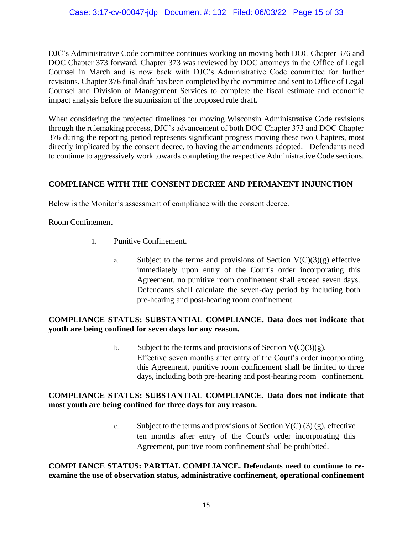DJC's Administrative Code committee continues working on moving both DOC Chapter 376 and DOC Chapter 373 forward. Chapter 373 was reviewed by DOC attorneys in the Office of Legal Counsel in March and is now back with DJC's Administrative Code committee for further revisions. Chapter 376 final draft has been completed by the committee and sent to Office of Legal Counsel and Division of Management Services to complete the fiscal estimate and economic impact analysis before the submission of the proposed rule draft.

When considering the projected timelines for moving Wisconsin Administrative Code revisions through the rulemaking process, DJC's advancement of both DOC Chapter 373 and DOC Chapter 376 during the reporting period represents significant progress moving these two Chapters, most directly implicated by the consent decree, to having the amendments adopted. Defendants need to continue to aggressively work towards completing the respective Administrative Code sections.

# **COMPLIANCE WITH THE CONSENT DECREE AND PERMANENT INJUNCTION**

Below is the Monitor's assessment of compliance with the consent decree.

Room Confinement

- 1. Punitive Confinement.
	- a. Subject to the terms and provisions of Section  $V(C)(3)(g)$  effective immediately upon entry of the Court's order incorporating this Agreement, no punitive room confinement shall exceed seven days. Defendants shall calculate the seven-day period by including both pre-hearing and post-hearing room confinement.

# **COMPLIANCE STATUS: SUBSTANTIAL COMPLIANCE. Data does not indicate that youth are being confined for seven days for any reason.**

b. Subject to the terms and provisions of Section  $V(C)(3)(g)$ , Effective seven months after entry of the Court's order incorporating this Agreement, punitive room confinement shall be limited to three days, including both pre-hearing and post-hearing room confinement.

# **COMPLIANCE STATUS: SUBSTANTIAL COMPLIANCE. Data does not indicate that most youth are being confined for three days for any reason.**

c. Subject to the terms and provisions of Section  $V(C)$  (3) (g), effective ten months after entry of the Court's order incorporating this Agreement, punitive room confinement shall be prohibited.

## **COMPLIANCE STATUS: PARTIAL COMPLIANCE. Defendants need to continue to reexamine the use of observation status, administrative confinement, operational confinement**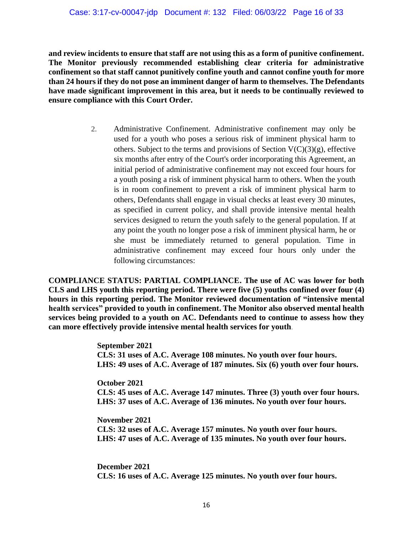**and review incidents to ensure that staff are not using this as a form of punitive confinement. The Monitor previously recommended establishing clear criteria for administrative confinement so that staff cannot punitively confine youth and cannot confine youth for more than 24 hours if they do not pose an imminent danger of harm to themselves. The Defendants have made significant improvement in this area, but it needs to be continually reviewed to ensure compliance with this Court Order.** 

> 2. Administrative Confinement. Administrative confinement may only be used for a youth who poses a serious risk of imminent physical harm to others. Subject to the terms and provisions of Section  $V(C)(3)(g)$ , effective six months after entry of the Court's order incorporating this Agreement, an initial period of administrative confinement may not exceed four hours for a youth posing a risk of imminent physical harm to others. When the youth is in room confinement to prevent a risk of imminent physical harm to others, Defendants shall engage in visual checks at least every 30 minutes, as specified in current policy, and shall provide intensive mental health services designed to return the youth safely to the general population. If at any point the youth no longer pose a risk of imminent physical harm, he or she must be immediately returned to general population. Time in administrative confinement may exceed four hours only under the following circumstances:

**COMPLIANCE STATUS: PARTIAL COMPLIANCE. The use of AC was lower for both CLS and LHS youth this reporting period. There were five (5) youths confined over four (4) hours in this reporting period. The Monitor reviewed documentation of "intensive mental health services" provided to youth in confinement. The Monitor also observed mental health services being provided to a youth on AC. Defendants need to continue to assess how they can more effectively provide intensive mental health services for youth**.

> **September 2021 CLS: 31 uses of A.C. Average 108 minutes. No youth over four hours. LHS: 49 uses of A.C. Average of 187 minutes. Six (6) youth over four hours.**

> **October 2021 CLS: 45 uses of A.C. Average 147 minutes. Three (3) youth over four hours. LHS: 37 uses of A.C. Average of 136 minutes. No youth over four hours.**

**November 2021 CLS: 32 uses of A.C. Average 157 minutes. No youth over four hours. LHS: 47 uses of A.C. Average of 135 minutes. No youth over four hours.** 

**December 2021 CLS: 16 uses of A.C. Average 125 minutes. No youth over four hours.**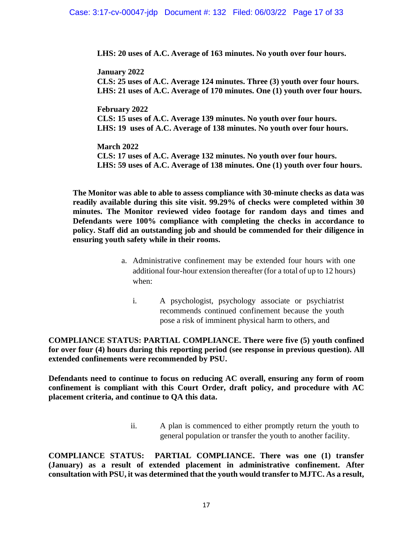**LHS: 20 uses of A.C. Average of 163 minutes. No youth over four hours.** 

**January 2022 CLS: 25 uses of A.C. Average 124 minutes. Three (3) youth over four hours. LHS: 21 uses of A.C. Average of 170 minutes. One (1) youth over four hours.** 

**February 2022 CLS: 15 uses of A.C. Average 139 minutes. No youth over four hours. LHS: 19 uses of A.C. Average of 138 minutes. No youth over four hours.** 

**March 2022 CLS: 17 uses of A.C. Average 132 minutes. No youth over four hours. LHS: 59 uses of A.C. Average of 138 minutes. One (1) youth over four hours.**

**The Monitor was able to able to assess compliance with 30-minute checks as data was readily available during this site visit. 99.29% of checks were completed within 30 minutes. The Monitor reviewed video footage for random days and times and Defendants were 100% compliance with completing the checks in accordance to policy. Staff did an outstanding job and should be commended for their diligence in ensuring youth safety while in their rooms.** 

- a. Administrative confinement may be extended four hours with one additional four-hour extension thereafter (for a total of up to 12 hours) when:
	- i. A psychologist, psychology associate or psychiatrist recommends continued confinement because the youth pose a risk of imminent physical harm to others, and

**COMPLIANCE STATUS: PARTIAL COMPLIANCE. There were five (5) youth confined for over four (4) hours during this reporting period (see response in previous question). All extended confinements were recommended by PSU.** 

**Defendants need to continue to focus on reducing AC overall, ensuring any form of room confinement is compliant with this Court Order, draft policy, and procedure with AC placement criteria, and continue to QA this data.** 

> ii. A plan is commenced to either promptly return the youth to general population or transfer the youth to another facility.

**COMPLIANCE STATUS: PARTIAL COMPLIANCE. There was one (1) transfer (January) as a result of extended placement in administrative confinement. After consultation with PSU, it was determined that the youth would transfer to MJTC. As a result,**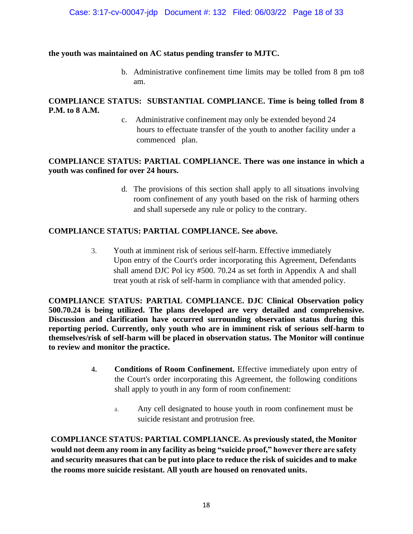#### **the youth was maintained on AC status pending transfer to MJTC.**

b. Administrative confinement time limits may be tolled from 8 pm to8 am.

## **COMPLIANCE STATUS: SUBSTANTIAL COMPLIANCE. Time is being tolled from 8 P.M. to 8 A.M.**

c. Administrative confinement may only be extended beyond 24 hours to effectuate transfer of the youth to another facility under a commenced plan.

### **COMPLIANCE STATUS: PARTIAL COMPLIANCE. There was one instance in which a youth was confined for over 24 hours.**

d. The provisions of this section shall apply to all situations involving room confinement of any youth based on the risk of harming others and shall supersede any rule or policy to the contrary.

### **COMPLIANCE STATUS: PARTIAL COMPLIANCE. See above.**

3. Youth at imminent risk of serious self-harm. Effective immediately Upon entry of the Court's order incorporating this Agreement, Defendants shall amend DJC Pol icy #500. 70.24 as set forth in Appendix A and shall treat youth at risk of self-harm in compliance with that amended policy.

**COMPLIANCE STATUS: PARTIAL COMPLIANCE. DJC Clinical Observation policy 500.70.24 is being utilized. The plans developed are very detailed and comprehensive. Discussion and clarification have occurred surrounding observation status during this reporting period. Currently, only youth who are in imminent risk of serious self-harm to themselves/risk of self-harm will be placed in observation status. The Monitor will continue to review and monitor the practice.**

- **4. Conditions of Room Confinement.** Effective immediately upon entry of the Court's order incorporating this Agreement, the following conditions shall apply to youth in any form of room confinement:
	- a. Any cell designated to house youth in room confinement must be suicide resistant and protrusion free.

**COMPLIANCE STATUS: PARTIAL COMPLIANCE. As previously stated, the Monitor would not deem any room in any facility as being "suicide proof," however there are safety and security measures that can be put into place to reduce the risk of suicides and to make the rooms more suicide resistant. All youth are housed on renovated units.**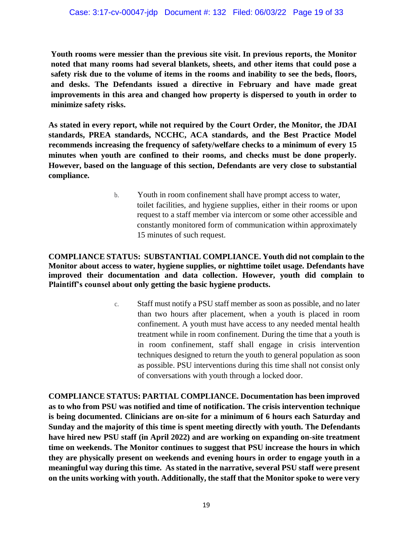**Youth rooms were messier than the previous site visit. In previous reports, the Monitor noted that many rooms had several blankets, sheets, and other items that could pose a safety risk due to the volume of items in the rooms and inability to see the beds, floors, and desks. The Defendants issued a directive in February and have made great improvements in this area and changed how property is dispersed to youth in order to minimize safety risks.** 

**As stated in every report, while not required by the Court Order, the Monitor, the JDAI standards, PREA standards, NCCHC, ACA standards, and the Best Practice Model recommends increasing the frequency of safety/welfare checks to a minimum of every 15 minutes when youth are confined to their rooms, and checks must be done properly. However, based on the language of this section, Defendants are very close to substantial compliance.** 

> b. Youth in room confinement shall have prompt access to water, toilet facilities, and hygiene supplies, either in their rooms or upon request to a staff member via intercom or some other accessible and constantly monitored form of communication within approximately 15 minutes of such request.

**COMPLIANCE STATUS: SUBSTANTIAL COMPLIANCE. Youth did not complain to the Monitor about access to water, hygiene supplies, or nighttime toilet usage. Defendants have improved their documentation and data collection. However, youth did complain to Plaintiff's counsel about only getting the basic hygiene products.**

> c. Staff must notify a PSU staff member as soon as possible, and no later than two hours after placement, when a youth is placed in room confinement. A youth must have access to any needed mental health treatment while in room confinement. During the time that a youth is in room confinement, staff shall engage in crisis intervention techniques designed to return the youth to general population as soon as possible. PSU interventions during this time shall not consist only of conversations with youth through a locked door.

**COMPLIANCE STATUS: PARTIAL COMPLIANCE. Documentation has been improved as to who from PSU was notified and time of notification. The crisis intervention technique is being documented. Clinicians are on-site for a minimum of 6 hours each Saturday and Sunday and the majority of this time is spent meeting directly with youth. The Defendants have hired new PSU staff (in April 2022) and are working on expanding on-site treatment time on weekends. The Monitor continues to suggest that PSU increase the hours in which they are physically present on weekends and evening hours in order to engage youth in a meaningful way during this time. As stated in the narrative, several PSU staff were present on the units working with youth. Additionally, the staff that the Monitor spoke to were very**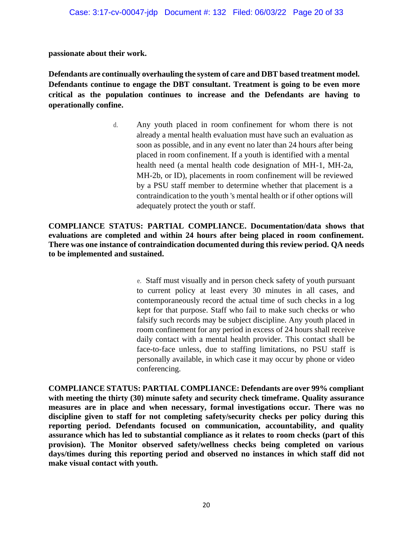**passionate about their work.** 

**Defendants are continually overhauling the system of care and DBT based treatment model. Defendants continue to engage the DBT consultant. Treatment is going to be even more critical as the population continues to increase and the Defendants are having to operationally confine.** 

> d. Any youth placed in room confinement for whom there is not already a mental health evaluation must have such an evaluation as soon as possible, and in any event no later than 24 hours after being placed in room confinement. If a youth is identified with a mental health need (a mental health code designation of MH-1, MH-2a, MH-2b, or ID), placements in room confinement will be reviewed by a PSU staff member to determine whether that placement is a contraindication to the youth 's mental health or if other options will adequately protect the youth or staff.

**COMPLIANCE STATUS: PARTIAL COMPLIANCE. Documentation/data shows that evaluations are completed and within 24 hours after being placed in room confinement. There was one instance of contraindication documented during this review period. QA needs to be implemented and sustained.** 

> e. Staff must visually and in person check safety of youth pursuant to current policy at least every 30 minutes in all cases, and contemporaneously record the actual time of such checks in a log kept for that purpose. Staff who fail to make such checks or who falsify such records may be subject discipline. Any youth placed in room confinement for any period in excess of 24 hours shall receive daily contact with a mental health provider. This contact shall be face-to-face unless, due to staffing limitations, no PSU staff is personally available, in which case it may occur by phone or video conferencing.

**COMPLIANCE STATUS: PARTIAL COMPLIANCE: Defendants are over 99% compliant with meeting the thirty (30) minute safety and security check timeframe. Quality assurance measures are in place and when necessary, formal investigations occur. There was no discipline given to staff for not completing safety/security checks per policy during this reporting period. Defendants focused on communication, accountability, and quality assurance which has led to substantial compliance as it relates to room checks (part of this provision). The Monitor observed safety/wellness checks being completed on various days/times during this reporting period and observed no instances in which staff did not make visual contact with youth.**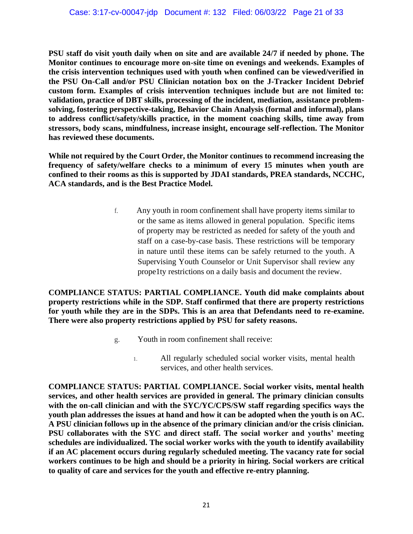**PSU staff do visit youth daily when on site and are available 24/7 if needed by phone. The Monitor continues to encourage more on-site time on evenings and weekends. Examples of the crisis intervention techniques used with youth when confined can be viewed/verified in the PSU On-Call and/or PSU Clinician notation box on the J-Tracker Incident Debrief custom form. Examples of crisis intervention techniques include but are not limited to: validation, practice of DBT skills, processing of the incident, mediation, assistance problemsolving, fostering perspective-taking, Behavior Chain Analysis (formal and informal), plans to address conflict/safety/skills practice, in the moment coaching skills, time away from stressors, body scans, mindfulness, increase insight, encourage self-reflection. The Monitor has reviewed these documents.** 

**While not required by the Court Order, the Monitor continues to recommend increasing the frequency of safety/welfare checks to a minimum of every 15 minutes when youth are confined to their rooms as this is supported by JDAI standards, PREA standards, NCCHC, ACA standards, and is the Best Practice Model.**

> f. Any youth in room confinement shall have property items similar to or the same as items allowed in general population. Specific items of property may be restricted as needed for safety of the youth and staff on a case-by-case basis. These restrictions will be temporary in nature until these items can be safely returned to the youth. A Supervising Youth Counselor or Unit Supervisor shall review any prope1ty restrictions on a daily basis and document the review.

**COMPLIANCE STATUS: PARTIAL COMPLIANCE. Youth did make complaints about property restrictions while in the SDP. Staff confirmed that there are property restrictions for youth while they are in the SDPs. This is an area that Defendants need to re-examine. There were also property restrictions applied by PSU for safety reasons.** 

- g. Youth in room confinement shall receive:
	- 1. All regularly scheduled social worker visits, mental health services, and other health services.

**COMPLIANCE STATUS: PARTIAL COMPLIANCE. Social worker visits, mental health services, and other health services are provided in general. The primary clinician consults with the on-call clinician and with the SYC/YC/CPS/SW staff regarding specifics ways the youth plan addresses the issues at hand and how it can be adopted when the youth is on AC. A PSU clinician follows up in the absence of the primary clinician and/or the crisis clinician. PSU collaborates with the SYC and direct staff. The social worker and youths' meeting schedules are individualized. The social worker works with the youth to identify availability if an AC placement occurs during regularly scheduled meeting. The vacancy rate for social workers continues to be high and should be a priority in hiring. Social workers are critical to quality of care and services for the youth and effective re-entry planning.**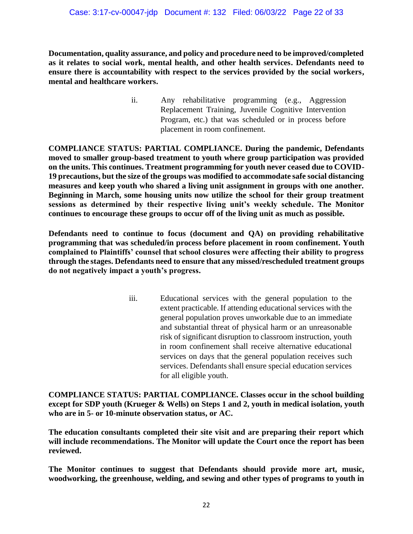**Documentation, quality assurance, and policy and procedure need to be improved/completed as it relates to social work, mental health, and other health services. Defendants need to ensure there is accountability with respect to the services provided by the social workers, mental and healthcare workers.** 

> ii. Any rehabilitative programming (e.g., Aggression Replacement Training, Juvenile Cognitive Intervention Program, etc.) that was scheduled or in process before placement in room confinement.

**COMPLIANCE STATUS: PARTIAL COMPLIANCE. During the pandemic, Defendants moved to smaller group-based treatment to youth where group participation was provided on the units. This continues. Treatment programming for youth never ceased due to COVID-19 precautions, but the size of the groups was modified to accommodate safe social distancing measures and keep youth who shared a living unit assignment in groups with one another. Beginning in March, some housing units now utilize the school for their group treatment sessions as determined by their respective living unit's weekly schedule. The Monitor continues to encourage these groups to occur off of the living unit as much as possible.**

**Defendants need to continue to focus (document and QA) on providing rehabilitative programming that was scheduled/in process before placement in room confinement. Youth complained to Plaintiffs' counsel that school closures were affecting their ability to progress through the stages. Defendants need to ensure that any missed/rescheduled treatment groups do not negatively impact a youth's progress.**

> iii. Educational services with the general population to the extent practicable. If attending educational services with the general population proves unworkable due to an immediate and substantial threat of physical harm or an unreasonable risk of significant disruption to classroom instruction, youth in room confinement shall receive alternative educational services on days that the general population receives such services. Defendants shall ensure special education services for all eligible youth.

**COMPLIANCE STATUS: PARTIAL COMPLIANCE. Classes occur in the school building except for SDP youth (Krueger & Wells) on Steps 1 and 2, youth in medical isolation, youth who are in 5- or 10-minute observation status, or AC.** 

**The education consultants completed their site visit and are preparing their report which will include recommendations. The Monitor will update the Court once the report has been reviewed.** 

**The Monitor continues to suggest that Defendants should provide more art, music, woodworking, the greenhouse, welding, and sewing and other types of programs to youth in**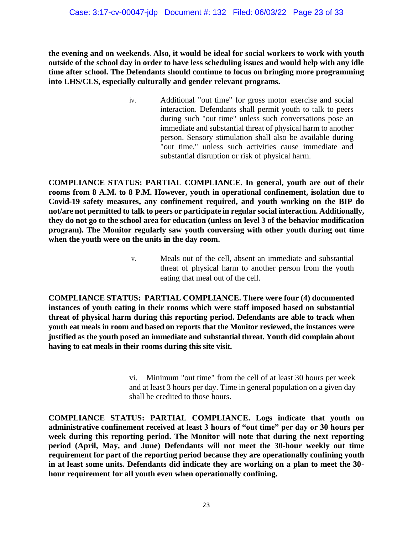**the evening and on weekends**. **Also, it would be ideal for social workers to work with youth outside of the school day in order to have less scheduling issues and would help with any idle time after school. The Defendants should continue to focus on bringing more programming into LHS/CLS, especially culturally and gender relevant programs.**

> iv. Additional "out time" for gross motor exercise and social interaction. Defendants shall permit youth to talk to peers during such "out time" unless such conversations pose an immediate and substantial threat of physical harm to another person. Sensory stimulation shall also be available during "out time," unless such activities cause immediate and substantial disruption or risk of physical harm.

**COMPLIANCE STATUS: PARTIAL COMPLIANCE. In general, youth are out of their rooms from 8 A.M. to 8 P.M. However, youth in operational confinement, isolation due to Covid-19 safety measures, any confinement required, and youth working on the BIP do not/are not permitted to talk to peers or participate in regular social interaction. Additionally, they do not go to the school area for education (unless on level 3 of the behavior modification program). The Monitor regularly saw youth conversing with other youth during out time when the youth were on the units in the day room.** 

> v. Meals out of the cell, absent an immediate and substantial threat of physical harm to another person from the youth eating that meal out of the cell.

**COMPLIANCE STATUS: PARTIAL COMPLIANCE. There were four (4) documented instances of youth eating in their rooms which were staff imposed based on substantial threat of physical harm during this reporting period. Defendants are able to track when youth eat meals in room and based on reports that the Monitor reviewed, the instances were justified as the youth posed an immediate and substantial threat. Youth did complain about having to eat meals in their rooms during this site visit.** 

> vi. Minimum "out time" from the cell of at least 30 hours per week and at least 3 hours per day. Time in general population on a given day shall be credited to those hours.

**COMPLIANCE STATUS: PARTIAL COMPLIANCE. Logs indicate that youth on administrative confinement received at least 3 hours of "out time" per day or 30 hours per week during this reporting period. The Monitor will note that during the next reporting period (April, May, and June) Defendants will not meet the 30-hour weekly out time requirement for part of the reporting period because they are operationally confining youth in at least some units. Defendants did indicate they are working on a plan to meet the 30 hour requirement for all youth even when operationally confining.**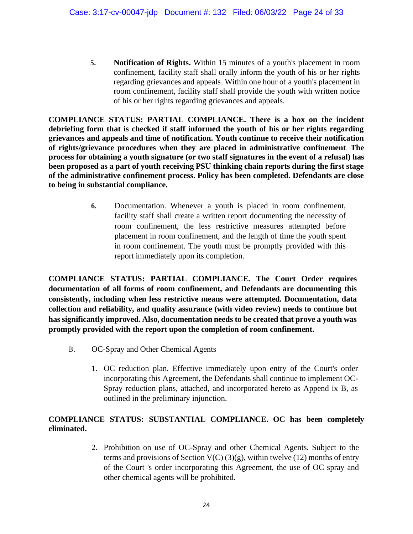**5. Notification of Rights.** Within 15 minutes of a youth's placement in room confinement, facility staff shall orally inform the youth of his or her rights regarding grievances and appeals. Within one hour of a youth's placement in room confinement, facility staff shall provide the youth with written notice of his or her rights regarding grievances and appeals.

**COMPLIANCE STATUS: PARTIAL COMPLIANCE. There is a box on the incident debriefing form that is checked if staff informed the youth of his or her rights regarding grievances and appeals and time of notification. Youth continue to receive their notification of rights/grievance procedures when they are placed in administrative confinement**. **The process for obtaining a youth signature (or two staff signatures in the event of a refusal) has been proposed as a part of youth receiving PSU thinking chain reports during the first stage of the administrative confinement process. Policy has been completed. Defendants are close to being in substantial compliance.**

> **6.** Documentation. Whenever a youth is placed in room confinement, facility staff shall create a written report documenting the necessity of room confinement, the less restrictive measures attempted before placement in room confinement, and the length of time the youth spent in room confinement. The youth must be promptly provided with this report immediately upon its completion.

**COMPLIANCE STATUS: PARTIAL COMPLIANCE. The Court Order requires documentation of all forms of room confinement, and Defendants are documenting this consistently, including when less restrictive means were attempted. Documentation, data collection and reliability, and quality assurance (with video review) needs to continue but has significantly improved. Also, documentation needs to be created that prove a youth was promptly provided with the report upon the completion of room confinement.**

- B. OC-Spray and Other Chemical Agents
	- 1. OC reduction plan. Effective immediately upon entry of the Court's order incorporating this Agreement, the Defendants shall continue to implement OC-Spray reduction plans, attached, and incorporated hereto as Append ix B, as outlined in the preliminary injunction.

# **COMPLIANCE STATUS: SUBSTANTIAL COMPLIANCE. OC has been completely eliminated.**

2. Prohibition on use of OC-Spray and other Chemical Agents. Subject to the terms and provisions of Section  $V(C)(3)(g)$ , within twelve (12) months of entry of the Court 's order incorporating this Agreement, the use of OC spray and other chemical agents will be prohibited.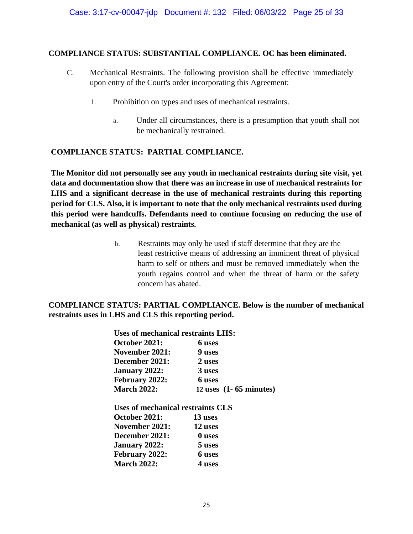#### **COMPLIANCE STATUS: SUBSTANTIAL COMPLIANCE. OC has been eliminated.**

- C. Mechanical Restraints. The following provision shall be effective immediately upon entry of the Court's order incorporating this Agreement:
	- 1. Prohibition on types and uses of mechanical restraints.
		- a. Under all circumstances, there is a presumption that youth shall not be mechanically restrained.

# **COMPLIANCE STATUS: PARTIAL COMPLIANCE.**

**The Monitor did not personally see any youth in mechanical restraints during site visit, yet data and documentation show that there was an increase in use of mechanical restraints for LHS and a significant decrease in the use of mechanical restraints during this reporting period for CLS. Also, it is important to note that the only mechanical restraints used during this period were handcuffs. Defendants need to continue focusing on reducing the use of mechanical (as well as physical) restraints.** 

> b. Restraints may only be used if staff determine that they are the least restrictive means of addressing an imminent threat of physical harm to self or others and must be removed immediately when the youth regains control and when the threat of harm or the safety concern has abated.

### **COMPLIANCE STATUS: PARTIAL COMPLIANCE. Below is the number of mechanical restraints uses in LHS and CLS this reporting period.**

| Uses of mechanical restraints LHS: |                                    |  |
|------------------------------------|------------------------------------|--|
| October 2021:                      | 6 uses                             |  |
| <b>November 2021:</b>              | 9 uses                             |  |
| December 2021:                     | 2 uses                             |  |
| <b>January 2022:</b>               | 3 uses                             |  |
| February 2022:                     | 6 uses                             |  |
| <b>March 2022:</b>                 | 12 uses $(1 - 65 \text{ minutes})$ |  |
| Uses of mechanical restraints CLS  |                                    |  |
| October 2021:                      | 13 uses                            |  |
| November 2021:                     | 12 uses                            |  |
| December 2021:                     | 0 uses                             |  |
| <b>January 2022:</b>               | 5 uses                             |  |
| February 2022:                     | 6 uses                             |  |
| <b>March 2022:</b>                 | 4 uses                             |  |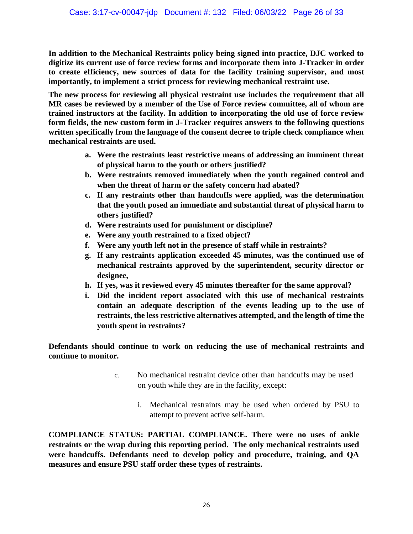**In addition to the Mechanical Restraints policy being signed into practice, DJC worked to digitize its current use of force review forms and incorporate them into J-Tracker in order to create efficiency, new sources of data for the facility training supervisor, and most importantly, to implement a strict process for reviewing mechanical restraint use.** 

**The new process for reviewing all physical restraint use includes the requirement that all MR cases be reviewed by a member of the Use of Force review committee, all of whom are trained instructors at the facility. In addition to incorporating the old use of force review form fields, the new custom form in J-Tracker requires answers to the following questions written specifically from the language of the consent decree to triple check compliance when mechanical restraints are used.** 

- **a. Were the restraints least restrictive means of addressing an imminent threat of physical harm to the youth or others justified?**
- **b. Were restraints removed immediately when the youth regained control and when the threat of harm or the safety concern had abated?**
- **c. If any restraints other than handcuffs were applied, was the determination that the youth posed an immediate and substantial threat of physical harm to others justified?**
- **d. Were restraints used for punishment or discipline?**
- **e. Were any youth restrained to a fixed object?**
- **f. Were any youth left not in the presence of staff while in restraints?**
- **g. If any restraints application exceeded 45 minutes, was the continued use of mechanical restraints approved by the superintendent, security director or designee,**
- **h. If yes, was it reviewed every 45 minutes thereafter for the same approval?**
- **i. Did the incident report associated with this use of mechanical restraints contain an adequate description of the events leading up to the use of restraints, the less restrictive alternatives attempted, and the length of time the youth spent in restraints?**

**Defendants should continue to work on reducing the use of mechanical restraints and continue to monitor.** 

- c. No mechanical restraint device other than handcuffs may be used on youth while they are in the facility, except:
	- i. Mechanical restraints may be used when ordered by PSU to attempt to prevent active self-harm.

**COMPLIANCE STATUS: PARTIAL COMPLIANCE. There were no uses of ankle restraints or the wrap during this reporting period. The only mechanical restraints used were handcuffs. Defendants need to develop policy and procedure, training, and QA measures and ensure PSU staff order these types of restraints.**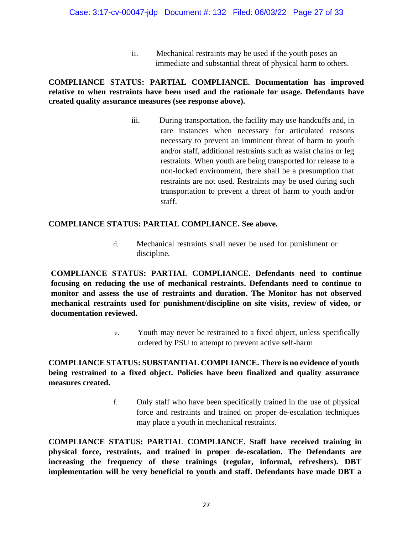ii. Mechanical restraints may be used if the youth poses an immediate and substantial threat of physical harm to others.

## **COMPLIANCE STATUS: PARTIAL COMPLIANCE. Documentation has improved relative to when restraints have been used and the rationale for usage. Defendants have created quality assurance measures (see response above).**

iii. During transportation, the facility may use handcuffs and, in rare instances when necessary for articulated reasons necessary to prevent an imminent threat of harm to youth and/or staff, additional restraints such as waist chains or leg restraints. When youth are being transported for release to a non-locked environment, there shall be a presumption that restraints are not used. Restraints may be used during such transportation to prevent a threat of harm to youth and/or staff.

### **COMPLIANCE STATUS: PARTIAL COMPLIANCE. See above.**

d. Mechanical restraints shall never be used for punishment or discipline.

**COMPLIANCE STATUS: PARTIAL COMPLIANCE. Defendants need to continue focusing on reducing the use of mechanical restraints. Defendants need to continue to monitor and assess the use of restraints and duration. The Monitor has not observed mechanical restraints used for punishment/discipline on site visits, review of video, or documentation reviewed.**

> e. Youth may never be restrained to a fixed object, unless specifically ordered by PSU to attempt to prevent active self-harm

# **COMPLIANCE STATUS: SUBSTANTIAL COMPLIANCE. There is no evidence of youth being restrained to a fixed object. Policies have been finalized and quality assurance measures created.**

f. Only staff who have been specifically trained in the use of physical force and restraints and trained on proper de-escalation techniques may place a youth in mechanical restraints.

**COMPLIANCE STATUS: PARTIAL COMPLIANCE. Staff have received training in physical force, restraints, and trained in proper de-escalation. The Defendants are increasing the frequency of these trainings (regular, informal, refreshers). DBT implementation will be very beneficial to youth and staff. Defendants have made DBT a**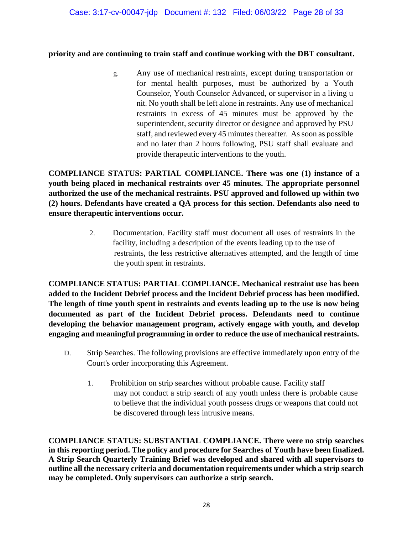### **priority and are continuing to train staff and continue working with the DBT consultant.**

g. Any use of mechanical restraints, except during transportation or for mental health purposes, must be authorized by a Youth Counselor, Youth Counselor Advanced, or supervisor in a living u nit. No youth shall be left alone in restraints. Any use of mechanical restraints in excess of 45 minutes must be approved by the superintendent, security director or designee and approved by PSU staff, and reviewed every 45 minutes thereafter. As soon as possible and no later than 2 hours following, PSU staff shall evaluate and provide therapeutic interventions to the youth.

**COMPLIANCE STATUS: PARTIAL COMPLIANCE. There was one (1) instance of a youth being placed in mechanical restraints over 45 minutes. The appropriate personnel authorized the use of the mechanical restraints. PSU approved and followed up within two (2) hours. Defendants have created a QA process for this section. Defendants also need to ensure therapeutic interventions occur.** 

> 2. Documentation. Facility staff must document all uses of restraints in the facility, including a description of the events leading up to the use of restraints, the less restrictive alternatives attempted, and the length of time the youth spent in restraints.

**COMPLIANCE STATUS: PARTIAL COMPLIANCE. Mechanical restraint use has been added to the Incident Debrief process and the Incident Debrief process has been modified. The length of time youth spent in restraints and events leading up to the use is now being documented as part of the Incident Debrief process. Defendants need to continue developing the behavior management program, actively engage with youth, and develop engaging and meaningful programming in order to reduce the use of mechanical restraints.**

- D. Strip Searches. The following provisions are effective immediately upon entry of the Court's order incorporating this Agreement.
	- 1. Prohibition on strip searches without probable cause. Facility staff may not conduct a strip search of any youth unless there is probable cause to believe that the individual youth possess drugs or weapons that could not be discovered through less intrusive means.

**COMPLIANCE STATUS: SUBSTANTIAL COMPLIANCE. There were no strip searches in this reporting period. The policy and procedure for Searches of Youth have been finalized. A Strip Search Quarterly Training Brief was developed and shared with all supervisors to outline all the necessary criteria and documentation requirements under which a strip search may be completed. Only supervisors can authorize a strip search.**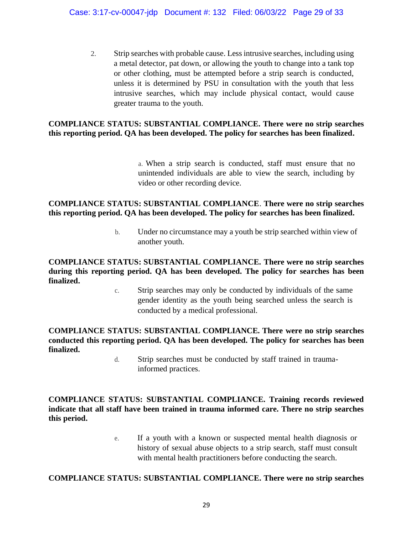2. Strip searches with probable cause. Less intrusive searches, including using a metal detector, pat down, or allowing the youth to change into a tank top or other clothing, must be attempted before a strip search is conducted, unless it is determined by PSU in consultation with the youth that less intrusive searches, which may include physical contact, would cause greater trauma to the youth.

# **COMPLIANCE STATUS: SUBSTANTIAL COMPLIANCE. There were no strip searches this reporting period. QA has been developed. The policy for searches has been finalized.**

a. When a strip search is conducted, staff must ensure that no unintended individuals are able to view the search, including by video or other recording device.

## **COMPLIANCE STATUS: SUBSTANTIAL COMPLIANCE**. **There were no strip searches this reporting period. QA has been developed. The policy for searches has been finalized.**

b. Under no circumstance may a youth be strip searched within view of another youth.

# **COMPLIANCE STATUS: SUBSTANTIAL COMPLIANCE. There were no strip searches during this reporting period. QA has been developed. The policy for searches has been finalized.**

c. Strip searches may only be conducted by individuals of the same gender identity as the youth being searched unless the search is conducted by a medical professional.

## **COMPLIANCE STATUS: SUBSTANTIAL COMPLIANCE. There were no strip searches conducted this reporting period. QA has been developed. The policy for searches has been finalized.**

d. Strip searches must be conducted by staff trained in traumainformed practices.

# **COMPLIANCE STATUS: SUBSTANTIAL COMPLIANCE. Training records reviewed indicate that all staff have been trained in trauma informed care. There no strip searches this period.**

e. If a youth with a known or suspected mental health diagnosis or history of sexual abuse objects to a strip search, staff must consult with mental health practitioners before conducting the search.

# **COMPLIANCE STATUS: SUBSTANTIAL COMPLIANCE. There were no strip searches**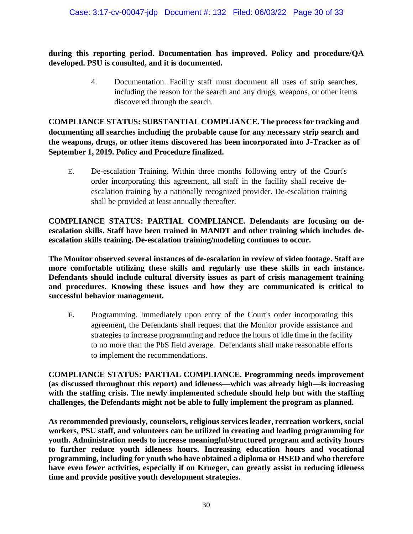**during this reporting period. Documentation has improved. Policy and procedure/QA developed. PSU is consulted, and it is documented.**

> 4. Documentation. Facility staff must document all uses of strip searches, including the reason for the search and any drugs, weapons, or other items discovered through the search.

**COMPLIANCE STATUS: SUBSTANTIAL COMPLIANCE. The process for tracking and documenting all searches including the probable cause for any necessary strip search and the weapons, drugs, or other items discovered has been incorporated into J-Tracker as of September 1, 2019. Policy and Procedure finalized.**

E. De-escalation Training. Within three months following entry of the Court's order incorporating this agreement, all staff in the facility shall receive deescalation training by a nationally recognized provider. De-escalation training shall be provided at least annually thereafter.

**COMPLIANCE STATUS: PARTIAL COMPLIANCE. Defendants are focusing on deescalation skills. Staff have been trained in MANDT and other training which includes deescalation skills training. De-escalation training/modeling continues to occur.**

**The Monitor observed several instances of de-escalation in review of video footage. Staff are more comfortable utilizing these skills and regularly use these skills in each instance. Defendants should include cultural diversity issues as part of crisis management training and procedures. Knowing these issues and how they are communicated is critical to successful behavior management.** 

**F.** Programming. Immediately upon entry of the Court's order incorporating this agreement, the Defendants shall request that the Monitor provide assistance and strategies to increase programming and reduce the hours of idle time in the facility to no more than the PbS field average. Defendants shall make reasonable efforts to implement the recommendations.

**COMPLIANCE STATUS: PARTIAL COMPLIANCE. Programming needs improvement (as discussed throughout this report) and idleness—which was already high—is increasing with the staffing crisis. The newly implemented schedule should help but with the staffing challenges, the Defendants might not be able to fully implement the program as planned.** 

**As recommended previously, counselors, religious services leader, recreation workers, social workers, PSU staff, and volunteers can be utilized in creating and leading programming for youth. Administration needs to increase meaningful/structured program and activity hours to further reduce youth idleness hours. Increasing education hours and vocational programming, including for youth who have obtained a diploma or HSED and who therefore have even fewer activities, especially if on Krueger, can greatly assist in reducing idleness time and provide positive youth development strategies.**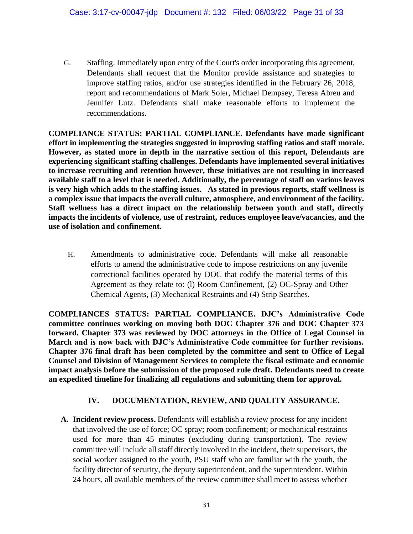G. Staffing. Immediately upon entry of the Court's order incorporating this agreement, Defendants shall request that the Monitor provide assistance and strategies to improve staffing ratios, and/or use strategies identified in the February 26, 2018, report and recommendations of Mark Soler, Michael Dempsey, Teresa Abreu and Jennifer Lutz. Defendants shall make reasonable efforts to implement the recommendations.

**COMPLIANCE STATUS: PARTIAL COMPLIANCE. Defendants have made significant effort in implementing the strategies suggested in improving staffing ratios and staff morale. However, as stated more in depth in the narrative section of this report, Defendants are experiencing significant staffing challenges. Defendants have implemented several initiatives to increase recruiting and retention however, these initiatives are not resulting in increased available staff to a level that is needed. Additionally, the percentage of staff on various leaves is very high which adds to the staffing issues. As stated in previous reports, staff wellness is a complex issue that impacts the overall culture, atmosphere, and environment of the facility. Staff wellness has a direct impact on the relationship between youth and staff, directly impacts the incidents of violence, use of restraint, reduces employee leave/vacancies, and the use of isolation and confinement.** 

H. Amendments to administrative code. Defendants will make all reasonable efforts to amend the administrative code to impose restrictions on any juvenile correctional facilities operated by DOC that codify the material terms of this Agreement as they relate to: (l) Room Confinement, (2) OC-Spray and Other Chemical Agents, (3) Mechanical Restraints and (4) Strip Searches.

**COMPLIANCES STATUS: PARTIAL COMPLIANCE. DJC's Administrative Code committee continues working on moving both DOC Chapter 376 and DOC Chapter 373 forward. Chapter 373 was reviewed by DOC attorneys in the Office of Legal Counsel in March and is now back with DJC's Administrative Code committee for further revisions. Chapter 376 final draft has been completed by the committee and sent to Office of Legal Counsel and Division of Management Services to complete the fiscal estimate and economic impact analysis before the submission of the proposed rule draft. Defendants need to create an expedited timeline for finalizing all regulations and submitting them for approval.**

# **IV. DOCUMENTATION, REVIEW, AND QUALITY ASSURANCE.**

**A. Incident review process.** Defendants will establish a review process for any incident that involved the use of force; OC spray; room confinement; or mechanical restraints used for more than 45 minutes (excluding during transportation). The review committee will include all staff directly involved in the incident, their supervisors, the social worker assigned to the youth, PSU staff who are familiar with the youth, the facility director of security, the deputy superintendent, and the superintendent. Within 24 hours, all available members of the review committee shall meet to assess whether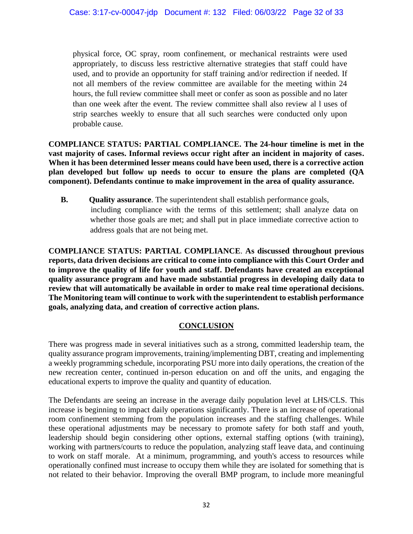physical force, OC spray, room confinement, or mechanical restraints were used appropriately, to discuss less restrictive alternative strategies that staff could have used, and to provide an opportunity for staff training and/or redirection if needed. If not all members of the review committee are available for the meeting within 24 hours, the full review committee shall meet or confer as soon as possible and no later than one week after the event. The review committee shall also review al l uses of strip searches weekly to ensure that all such searches were conducted only upon probable cause.

**COMPLIANCE STATUS: PARTIAL COMPLIANCE. The 24-hour timeline is met in the vast majority of cases. Informal reviews occur right after an incident in majority of cases. When it has been determined lesser means could have been used, there is a corrective action plan developed but follow up needs to occur to ensure the plans are completed (QA component). Defendants continue to make improvement in the area of quality assurance.** 

**B. Quality assurance**. The superintendent shall establish performance goals, including compliance with the terms of this settlement; shall analyze data on whether those goals are met; and shall put in place immediate corrective action to address goals that are not being met.

**COMPLIANCE STATUS: PARTIAL COMPLIANCE**. **As discussed throughout previous reports, data driven decisions are critical to come into compliance with this Court Order and to improve the quality of life for youth and staff. Defendants have created an exceptional quality assurance program and have made substantial progress in developing daily data to review that will automatically be available in order to make real time operational decisions. The Monitoring team will continue to work with the superintendent to establish performance goals, analyzing data, and creation of corrective action plans.**

# **CONCLUSION**

There was progress made in several initiatives such as a strong, committed leadership team, the quality assurance program improvements, training/implementing DBT, creating and implementing a weekly programming schedule, incorporating PSU more into daily operations, the creation of the new recreation center, continued in-person education on and off the units, and engaging the educational experts to improve the quality and quantity of education.

The Defendants are seeing an increase in the average daily population level at LHS/CLS. This increase is beginning to impact daily operations significantly. There is an increase of operational room confinement stemming from the population increases and the staffing challenges. While these operational adjustments may be necessary to promote safety for both staff and youth, leadership should begin considering other options, external staffing options (with training), working with partners/courts to reduce the population, analyzing staff leave data, and continuing to work on staff morale. At a minimum, programming, and youth's access to resources while operationally confined must increase to occupy them while they are isolated for something that is not related to their behavior. Improving the overall BMP program, to include more meaningful